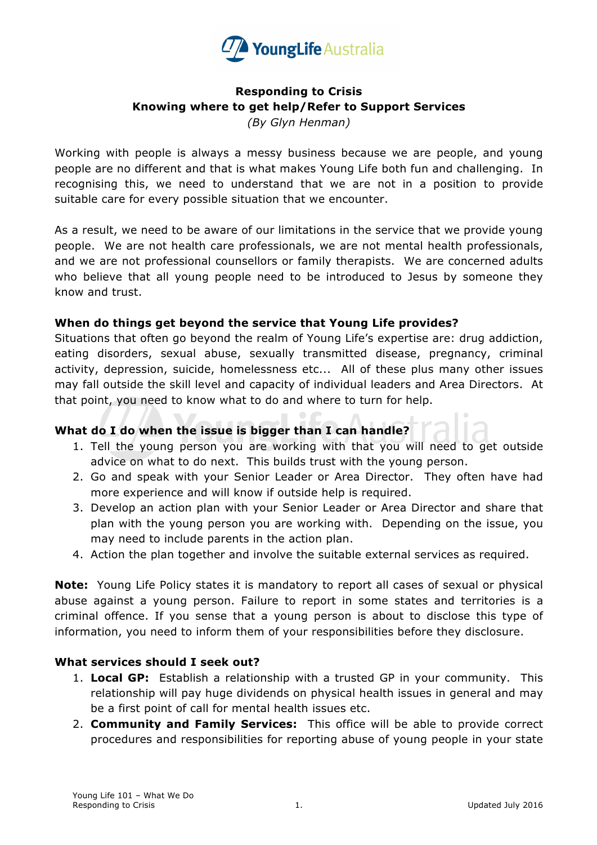

## **Responding to Crisis Knowing where to get help/Refer to Support Services**

*(By Glyn Henman)*

Working with people is always a messy business because we are people, and young people are no different and that is what makes Young Life both fun and challenging. In recognising this, we need to understand that we are not in a position to provide suitable care for every possible situation that we encounter.

As a result, we need to be aware of our limitations in the service that we provide young people. We are not health care professionals, we are not mental health professionals, and we are not professional counsellors or family therapists. We are concerned adults who believe that all young people need to be introduced to Jesus by someone they know and trust.

## **When do things get beyond the service that Young Life provides?**

Situations that often go beyond the realm of Young Life's expertise are: drug addiction, eating disorders, sexual abuse, sexually transmitted disease, pregnancy, criminal activity, depression, suicide, homelessness etc... All of these plus many other issues may fall outside the skill level and capacity of individual leaders and Area Directors. At that point, you need to know what to do and where to turn for help.

## **What do I do when the issue is bigger than I can handle?**

- 1. Tell the young person you are working with that you will need to get outside advice on what to do next. This builds trust with the young person.
- 2. Go and speak with your Senior Leader or Area Director. They often have had more experience and will know if outside help is required.
- 3. Develop an action plan with your Senior Leader or Area Director and share that plan with the young person you are working with. Depending on the issue, you may need to include parents in the action plan.
- 4. Action the plan together and involve the suitable external services as required.

**Note:** Young Life Policy states it is mandatory to report all cases of sexual or physical abuse against a young person. Failure to report in some states and territories is a criminal offence. If you sense that a young person is about to disclose this type of information, you need to inform them of your responsibilities before they disclosure.

## **What services should I seek out?**

- 1. **Local GP:** Establish a relationship with a trusted GP in your community. This relationship will pay huge dividends on physical health issues in general and may be a first point of call for mental health issues etc.
- 2. **Community and Family Services:** This office will be able to provide correct procedures and responsibilities for reporting abuse of young people in your state